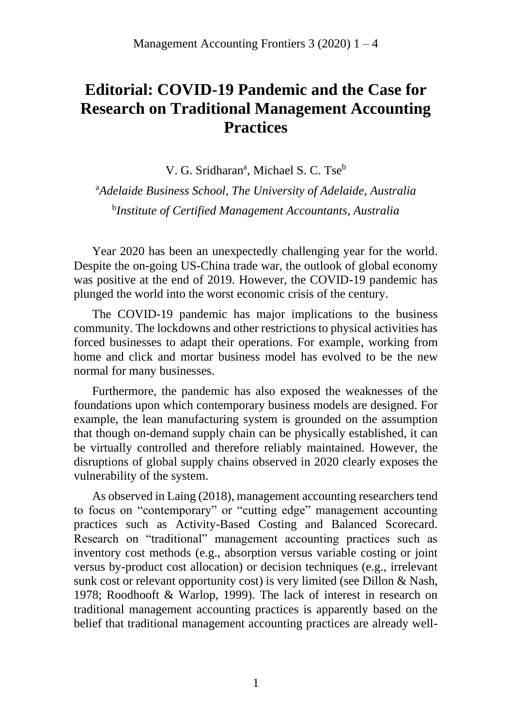## **Editorial: COVID-19 Pandemic and the Case for Research on Traditional Management Accounting Practices**

V. G. Sridharan<sup>a</sup>, Michael S. C. Tse<sup>b</sup>

<sup>a</sup>*Adelaide Business School, The University of Adelaide, Australia* b *Institute of Certified Management Accountants, Australia*

Year 2020 has been an unexpectedly challenging year for the world. Despite the on-going US-China trade war, the outlook of global economy was positive at the end of 2019. However, the COVID-19 pandemic has plunged the world into the worst economic crisis of the century.

The COVID-19 pandemic has major implications to the business community. The lockdowns and other restrictions to physical activities has forced businesses to adapt their operations. For example, working from home and click and mortar business model has evolved to be the new normal for many businesses.

Furthermore, the pandemic has also exposed the weaknesses of the foundations upon which contemporary business models are designed. For example, the lean manufacturing system is grounded on the assumption that though on-demand supply chain can be physically established, it can be virtually controlled and therefore reliably maintained. However, the disruptions of global supply chains observed in 2020 clearly exposes the vulnerability of the system.

As observed in Laing (2018), management accounting researchers tend to focus on "contemporary" or "cutting edge" management accounting practices such as Activity-Based Costing and Balanced Scorecard. Research on "traditional" management accounting practices such as inventory cost methods (e.g., absorption versus variable costing or joint versus by-product cost allocation) or decision techniques (e.g., irrelevant sunk cost or relevant opportunity cost) is very limited (see Dillon & Nash, 1978; Roodhooft & Warlop, 1999). The lack of interest in research on traditional management accounting practices is apparently based on the belief that traditional management accounting practices are already well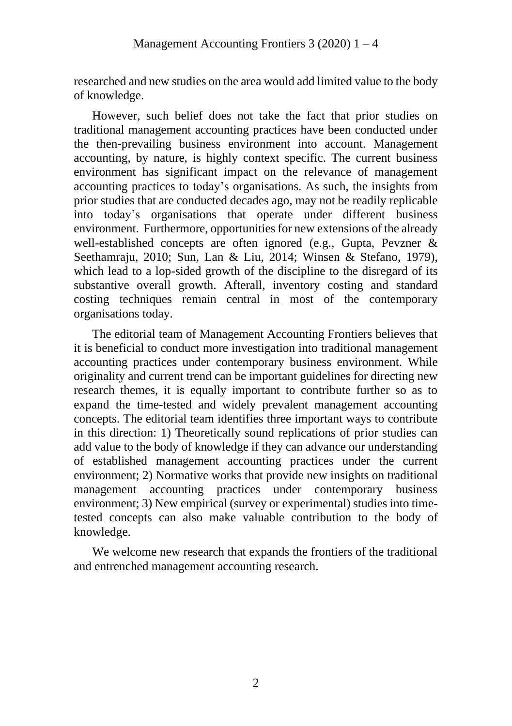researched and new studies on the area would add limited value to the body of knowledge.

However, such belief does not take the fact that prior studies on traditional management accounting practices have been conducted under the then-prevailing business environment into account. Management accounting, by nature, is highly context specific. The current business environment has significant impact on the relevance of management accounting practices to today's organisations. As such, the insights from prior studies that are conducted decades ago, may not be readily replicable into today's organisations that operate under different business environment. Furthermore, opportunities for new extensions of the already well-established concepts are often ignored (e.g., Gupta, Pevzner & Seethamraju, 2010; Sun, Lan & Liu, 2014; Winsen & Stefano, 1979), which lead to a lop-sided growth of the discipline to the disregard of its substantive overall growth. Afterall, inventory costing and standard costing techniques remain central in most of the contemporary organisations today.

The editorial team of Management Accounting Frontiers believes that it is beneficial to conduct more investigation into traditional management accounting practices under contemporary business environment. While originality and current trend can be important guidelines for directing new research themes, it is equally important to contribute further so as to expand the time-tested and widely prevalent management accounting concepts. The editorial team identifies three important ways to contribute in this direction: 1) Theoretically sound replications of prior studies can add value to the body of knowledge if they can advance our understanding of established management accounting practices under the current environment; 2) Normative works that provide new insights on traditional management accounting practices under contemporary business environment; 3) New empirical (survey or experimental) studies into timetested concepts can also make valuable contribution to the body of knowledge.

We welcome new research that expands the frontiers of the traditional and entrenched management accounting research.